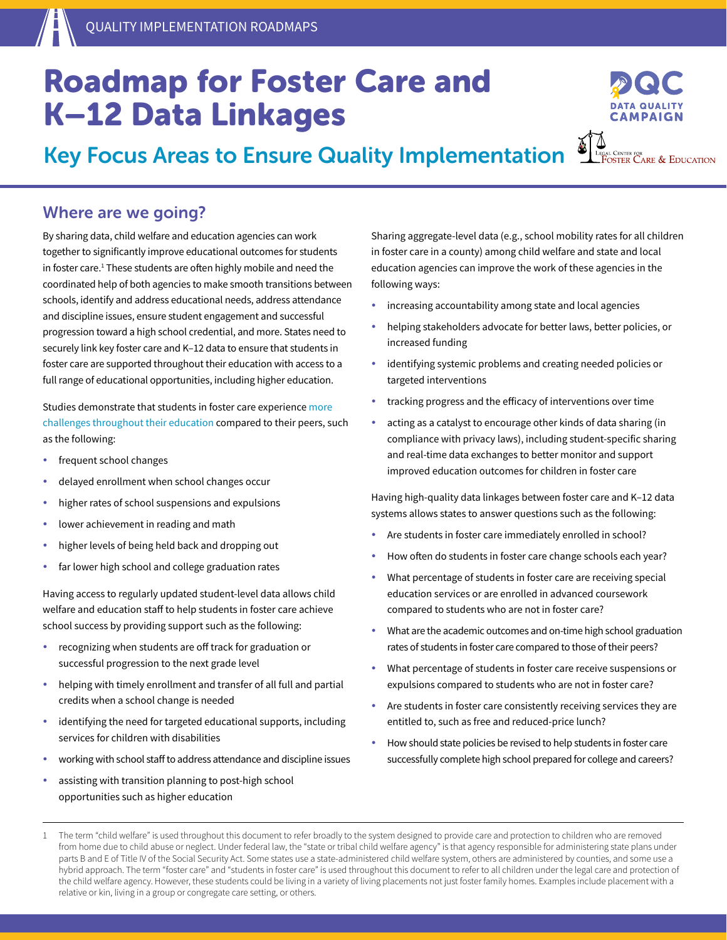## Roadmap for Foster Care and K–12 Data Linkages

**ΓΑΜΡΔ** 

Key Focus Areas to Ensure Quality Implementation

#### Where are we going?

By sharing data, child welfare and education agencies can work together to significantly improve educational outcomes for students in foster care.<sup>1</sup> These students are often highly mobile and need the coordinated help of both agencies to make smooth transitions between schools, identify and address educational needs, address attendance and discipline issues, ensure student engagement and successful progression toward a high school credential, and more. States need to securely link key foster care and K–12 data to ensure that students in foster care are supported throughout their education with access to a full range of educational opportunities, including higher education.

Studies demonstrate that students in foster care experience [more](http://fostercareandeducation.org/DesktopModules/Bring2mind/DMX/Download.aspx?portalid=0&EntryId=1279&Command=Core_Download)  [challenges throughout their education](http://fostercareandeducation.org/DesktopModules/Bring2mind/DMX/Download.aspx?portalid=0&EntryId=1279&Command=Core_Download) compared to their peers, such as the following:

- frequent school changes
- delayed enrollment when school changes occur
- higher rates of school suspensions and expulsions
- lower achievement in reading and math
- higher levels of being held back and dropping out
- far lower high school and college graduation rates

Having access to regularly updated student-level data allows child welfare and education staff to help students in foster care achieve school success by providing support such as the following:

- recognizing when students are off track for graduation or successful progression to the next grade level
- helping with timely enrollment and transfer of all full and partial credits when a school change is needed
- identifying the need for targeted educational supports, including services for children with disabilities
- working with school staff to address attendance and discipline issues
- assisting with transition planning to post-high school opportunities such as higher education

Sharing aggregate-level data (e.g., school mobility rates for all children in foster care in a county) among child welfare and state and local education agencies can improve the work of these agencies in the following ways:

- increasing accountability among state and local agencies
- helping stakeholders advocate for better laws, better policies, or increased funding
- identifying systemic problems and creating needed policies or targeted interventions
- tracking progress and the efficacy of interventions over time
- acting as a catalyst to encourage other kinds of data sharing (in compliance with privacy laws), including student-specific sharing and real-time data exchanges to better monitor and support improved education outcomes for children in foster care

Having high-quality data linkages between foster care and K–12 data systems allows states to answer questions such as the following:

- Are students in foster care immediately enrolled in school?
- How often do students in foster care change schools each year?
- What percentage of students in foster care are receiving special education services or are enrolled in advanced coursework compared to students who are not in foster care?
- What are the academic outcomes and on-time high school graduation rates of students in foster care compared to those of their peers?
- What percentage of students in foster care receive suspensions or expulsions compared to students who are not in foster care?
- Are students in foster care consistently receiving services they are entitled to, such as free and reduced-price lunch?
- How should state policies be revised to help students in foster care successfully complete high school prepared for college and careers?

<sup>1</sup> The term "child welfare" is used throughout this document to refer broadly to the system designed to provide care and protection to children who are removed from home due to child abuse or neglect. Under federal law, the "state or tribal child welfare agency" is that agency responsible for administering state plans under parts B and E of Title IV of the Social Security Act. Some states use a state-administered child welfare system, others are administered by counties, and some use a hybrid approach. The term "foster care" and "students in foster care" is used throughout this document to refer to all children under the legal care and protection of the child welfare agency. However, these students could be living in a variety of living placements not just foster family homes. Examples include placement with a relative or kin, living in a group or congregate care setting, or others.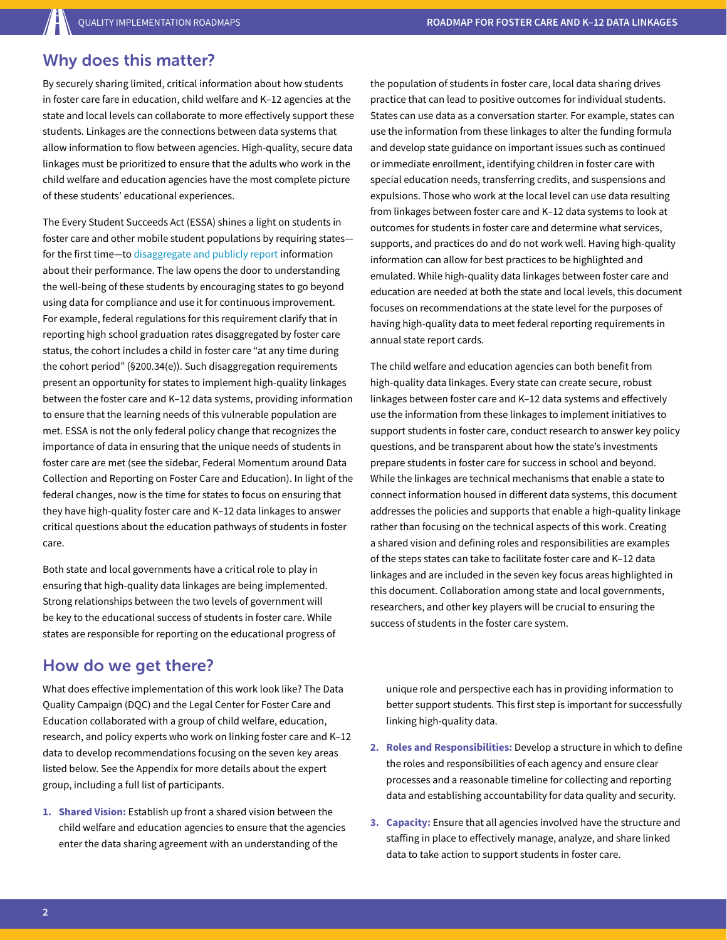#### Why does this matter?

By securely sharing limited, critical information about how students in foster care fare in education, child welfare and K–12 agencies at the state and local levels can collaborate to more effectively support these students. Linkages are the connections between data systems that allow information to flow between agencies. High-quality, secure data linkages must be prioritized to ensure that the adults who work in the child welfare and education agencies have the most complete picture of these students' educational experiences.

The Every Student Succeeds Act (ESSA) shines a light on students in foster care and other mobile student populations by requiring states for the first time—to [disaggregate and publicly report](https://www2.ed.gov/documents/essa-act-of-1965.pdf) information about their performance. The law opens the door to understanding the well-being of these students by encouraging states to go beyond using data for compliance and use it for continuous improvement. For example, federal regulations for this requirement clarify that in reporting high school graduation rates disaggregated by foster care status, the cohort includes a child in foster care "at any time during the cohort period" (§200.34(e)). Such disaggregation requirements present an opportunity for states to implement high-quality linkages between the foster care and K–12 data systems, providing information to ensure that the learning needs of this vulnerable population are met. ESSA is not the only federal policy change that recognizes the importance of data in ensuring that the unique needs of students in foster care are met (see the sidebar, Federal Momentum around Data Collection and Reporting on Foster Care and Education). In light of the federal changes, now is the time for states to focus on ensuring that they have high-quality foster care and K–12 data linkages to answer critical questions about the education pathways of students in foster care.

Both state and local governments have a critical role to play in ensuring that high-quality data linkages are being implemented. Strong relationships between the two levels of government will be key to the educational success of students in foster care. While states are responsible for reporting on the educational progress of

#### How do we get there?

What does effective implementation of this work look like? The Data Quality Campaign (DQC) and the Legal Center for Foster Care and Education collaborated with a group of child welfare, education, research, and policy experts who work on linking foster care and K–12 data to develop recommendations focusing on the seven key areas listed below. See the Appendix for more details about the expert group, including a full list of participants.

**1. Shared Vision:** Establish up front a shared vision between the child welfare and education agencies to ensure that the agencies enter the data sharing agreement with an understanding of the

the population of students in foster care, local data sharing drives practice that can lead to positive outcomes for individual students. States can use data as a conversation starter. For example, states can use the information from these linkages to alter the funding formula and develop state guidance on important issues such as continued or immediate enrollment, identifying children in foster care with special education needs, transferring credits, and suspensions and expulsions. Those who work at the local level can use data resulting from linkages between foster care and K–12 data systems to look at outcomes for students in foster care and determine what services, supports, and practices do and do not work well. Having high-quality information can allow for best practices to be highlighted and emulated. While high-quality data linkages between foster care and education are needed at both the state and local levels, this document focuses on recommendations at the state level for the purposes of having high-quality data to meet federal reporting requirements in annual state report cards.

The child welfare and education agencies can both benefit from high-quality data linkages. Every state can create secure, robust linkages between foster care and K–12 data systems and effectively use the information from these linkages to implement initiatives to support students in foster care, conduct research to answer key policy questions, and be transparent about how the state's investments prepare students in foster care for success in school and beyond. While the linkages are technical mechanisms that enable a state to connect information housed in different data systems, this document addresses the policies and supports that enable a high-quality linkage rather than focusing on the technical aspects of this work. Creating a shared vision and defining roles and responsibilities are examples of the steps states can take to facilitate foster care and K–12 data linkages and are included in the seven key focus areas highlighted in this document. Collaboration among state and local governments, researchers, and other key players will be crucial to ensuring the success of students in the foster care system.

unique role and perspective each has in providing information to better support students. This first step is important for successfully linking high-quality data.

- **2. Roles and Responsibilities:** Develop a structure in which to define the roles and responsibilities of each agency and ensure clear processes and a reasonable timeline for collecting and reporting data and establishing accountability for data quality and security.
- **3. Capacity:** Ensure that all agencies involved have the structure and staffing in place to effectively manage, analyze, and share linked data to take action to support students in foster care.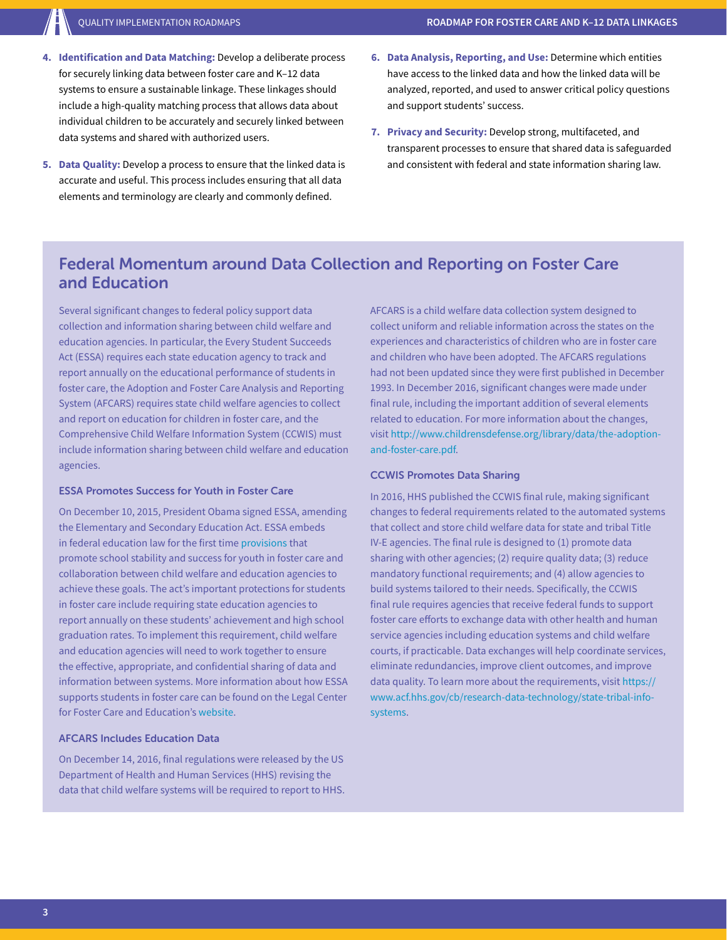- **4. Identification and Data Matching:** Develop a deliberate process for securely linking data between foster care and K–12 data systems to ensure a sustainable linkage. These linkages should include a high-quality matching process that allows data about individual children to be accurately and securely linked between data systems and shared with authorized users.
- **5. Data Quality:** Develop a process to ensure that the linked data is accurate and useful. This process includes ensuring that all data elements and terminology are clearly and commonly defined.
- **6. Data Analysis, Reporting, and Use:** Determine which entities have access to the linked data and how the linked data will be analyzed, reported, and used to answer critical policy questions and support students' success.
- **7. Privacy and Security:** Develop strong, multifaceted, and transparent processes to ensure that shared data is safeguarded and consistent with federal and state information sharing law.

#### Federal Momentum around Data Collection and Reporting on Foster Care and Education

Several significant changes to federal policy support data collection and information sharing between child welfare and education agencies. In particular, the Every Student Succeeds Act (ESSA) requires each state education agency to track and report annually on the educational performance of students in foster care, the Adoption and Foster Care Analysis and Reporting System (AFCARS) requires state child welfare agencies to collect and report on education for children in foster care, and the Comprehensive Child Welfare Information System (CCWIS) must include information sharing between child welfare and education agencies.

#### ESSA Promotes Success for Youth in Foster Care

On December 10, 2015, President Obama signed ESSA, amending the Elementary and Secondary Education Act. ESSA embeds in federal education law for the first time [provisions](https://www2.ed.gov/policy/elsec/leg/essa/edhhsfostercarenonregulatorguide.pdf) that promote school stability and success for youth in foster care and collaboration between child welfare and education agencies to achieve these goals. The act's important protections for students in foster care include requiring state education agencies to report annually on these students' achievement and high school graduation rates. To implement this requirement, child welfare and education agencies will need to work together to ensure the effective, appropriate, and confidential sharing of data and information between systems. More information about how ESSA supports students in foster care can be found on the Legal Center for Foster Care and Education's [website.](http://www.fostercareandeducation.org/DesktopModules/Bring2mind/DMX/Download.aspx?portalid=0&EntryId=2004&Command=Core_Download)

#### AFCARS Includes Education Data

On December 14, 2016, final regulations were released by the US Department of Health and Human Services (HHS) revising the data that child welfare systems will be required to report to HHS. AFCARS is a child welfare data collection system designed to collect uniform and reliable information across the states on the experiences and characteristics of children who are in foster care and children who have been adopted. The AFCARS regulations had not been updated since they were first published in December 1993. In December 2016, significant changes were made under final rule, including the important addition of several elements related to education. For more information about the changes, visit [http://www.childrensdefense.org/library/data/the-adoption](http://www.childrensdefense.org/library/data/the-adoption-and-foster-care.pdf)[and-foster-care.pdf.](http://www.childrensdefense.org/library/data/the-adoption-and-foster-care.pdf)

#### CCWIS Promotes Data Sharing

In 2016, HHS published the CCWIS final rule, making significant changes to federal requirements related to the automated systems that collect and store child welfare data for state and tribal Title IV-E agencies. The final rule is designed to (1) promote data sharing with other agencies; (2) require quality data; (3) reduce mandatory functional requirements; and (4) allow agencies to build systems tailored to their needs. Specifically, the CCWIS final rule requires agencies that receive federal funds to support foster care efforts to exchange data with other health and human service agencies including education systems and child welfare courts, if practicable. Data exchanges will help coordinate services, eliminate redundancies, improve client outcomes, and improve data quality. To learn more about the requirements, visit [https://](https://www.acf.hhs.gov/cb/research-data-technology/state-tribal-info-systems) [www.acf.hhs.gov/cb/research-data-technology/state-tribal-info](https://www.acf.hhs.gov/cb/research-data-technology/state-tribal-info-systems)[systems](https://www.acf.hhs.gov/cb/research-data-technology/state-tribal-info-systems).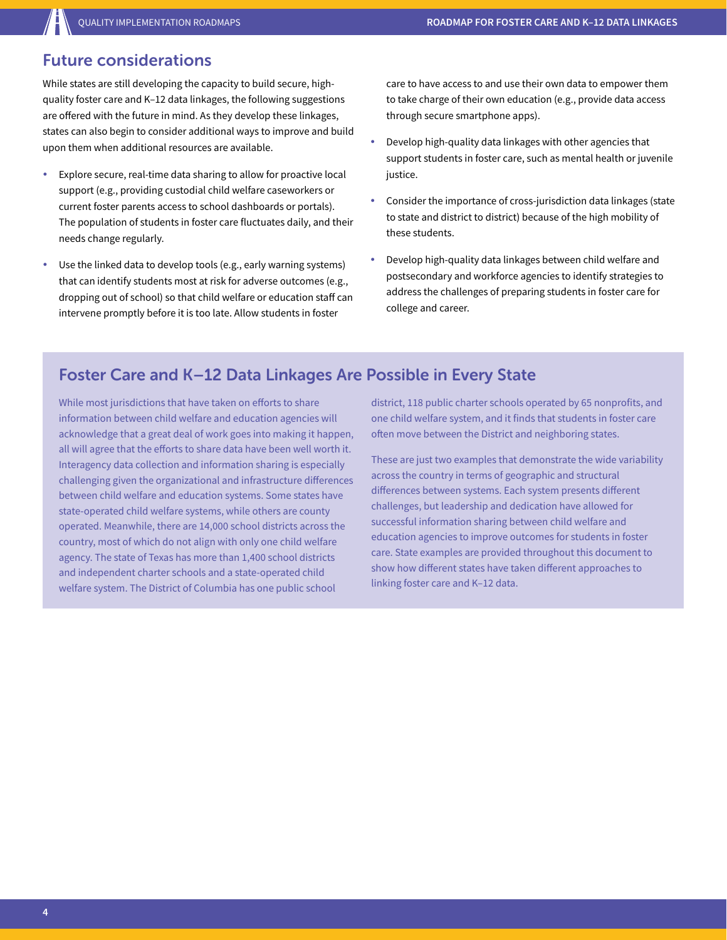#### Future considerations

While states are still developing the capacity to build secure, highquality foster care and K–12 data linkages, the following suggestions are offered with the future in mind. As they develop these linkages, states can also begin to consider additional ways to improve and build upon them when additional resources are available.

- Explore secure, real-time data sharing to allow for proactive local support (e.g., providing custodial child welfare caseworkers or current foster parents access to school dashboards or portals). The population of students in foster care fluctuates daily, and their needs change regularly.
- Use the linked data to develop tools (e.g., early warning systems) that can identify students most at risk for adverse outcomes (e.g., dropping out of school) so that child welfare or education staff can intervene promptly before it is too late. Allow students in foster

care to have access to and use their own data to empower them to take charge of their own education (e.g., provide data access through secure smartphone apps).

- Develop high-quality data linkages with other agencies that support students in foster care, such as mental health or juvenile justice.
- Consider the importance of cross-jurisdiction data linkages (state to state and district to district) because of the high mobility of these students.
- Develop high-quality data linkages between child welfare and postsecondary and workforce agencies to identify strategies to address the challenges of preparing students in foster care for college and career.

### Foster Care and K–12 Data Linkages Are Possible in Every State

While most jurisdictions that have taken on efforts to share information between child welfare and education agencies will acknowledge that a great deal of work goes into making it happen, all will agree that the efforts to share data have been well worth it. Interagency data collection and information sharing is especially challenging given the organizational and infrastructure differences between child welfare and education systems. Some states have state-operated child welfare systems, while others are county operated. Meanwhile, there are 14,000 school districts across the country, most of which do not align with only one child welfare agency. The state of Texas has more than 1,400 school districts and independent charter schools and a state-operated child welfare system. The District of Columbia has one public school

district, 118 public charter schools operated by 65 nonprofits, and one child welfare system, and it finds that students in foster care often move between the District and neighboring states.

These are just two examples that demonstrate the wide variability across the country in terms of geographic and structural differences between systems. Each system presents different challenges, but leadership and dedication have allowed for successful information sharing between child welfare and education agencies to improve outcomes for students in foster care. State examples are provided throughout this document to show how different states have taken different approaches to linking foster care and K–12 data.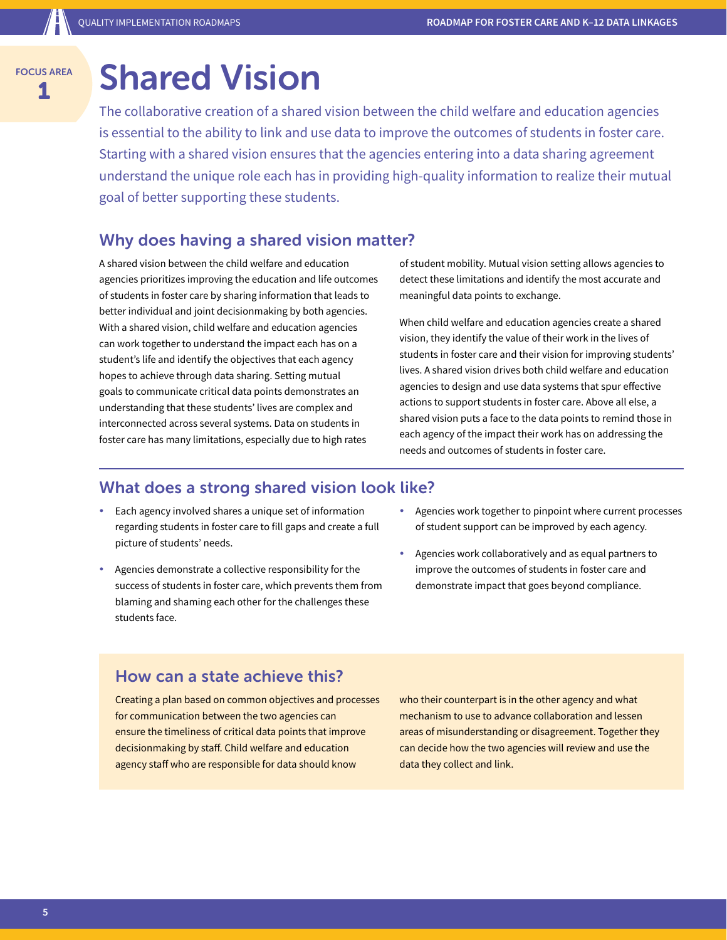## Shared Vision

The collaborative creation of a shared vision between the child welfare and education agencies is essential to the ability to link and use data to improve the outcomes of students in foster care. Starting with a shared vision ensures that the agencies entering into a data sharing agreement understand the unique role each has in providing high-quality information to realize their mutual goal of better supporting these students.

#### Why does having a shared vision matter?

A shared vision between the child welfare and education agencies prioritizes improving the education and life outcomes of students in foster care by sharing information that leads to better individual and joint decisionmaking by both agencies. With a shared vision, child welfare and education agencies can work together to understand the impact each has on a student's life and identify the objectives that each agency hopes to achieve through data sharing. Setting mutual goals to communicate critical data points demonstrates an understanding that these students' lives are complex and interconnected across several systems. Data on students in foster care has many limitations, especially due to high rates

of student mobility. Mutual vision setting allows agencies to detect these limitations and identify the most accurate and meaningful data points to exchange.

When child welfare and education agencies create a shared vision, they identify the value of their work in the lives of students in foster care and their vision for improving students' lives. A shared vision drives both child welfare and education agencies to design and use data systems that spur effective actions to support students in foster care. Above all else, a shared vision puts a face to the data points to remind those in each agency of the impact their work has on addressing the needs and outcomes of students in foster care.

#### What does a strong shared vision look like?

- Each agency involved shares a unique set of information regarding students in foster care to fill gaps and create a full picture of students' needs.
- Agencies demonstrate a collective responsibility for the success of students in foster care, which prevents them from blaming and shaming each other for the challenges these students face.
- Agencies work together to pinpoint where current processes of student support can be improved by each agency.
- Agencies work collaboratively and as equal partners to improve the outcomes of students in foster care and demonstrate impact that goes beyond compliance.

#### How can a state achieve this?

Creating a plan based on common objectives and processes for communication between the two agencies can ensure the timeliness of critical data points that improve decisionmaking by staff. Child welfare and education agency staff who are responsible for data should know

who their counterpart is in the other agency and what mechanism to use to advance collaboration and lessen areas of misunderstanding or disagreement. Together they can decide how the two agencies will review and use the data they collect and link.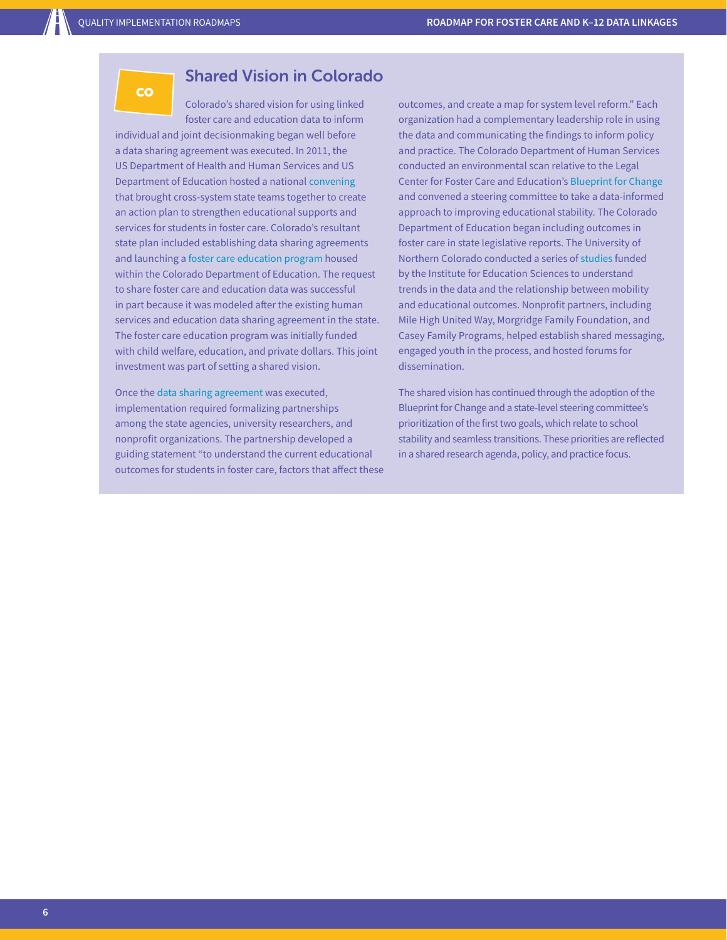**CO** 

#### Shared Vision in Colorado

Colorado's shared vision for using linked foster care and education data to inform individual and joint decisionmaking began well before a data sharing agreement was executed. In 2011, the US Department of Health and Human Services and US Department of Education hosted a national [convening](http://sites.ed.gov/oese/2011/10/national-meeting-on-improving-educational-stability-for-children-in-foster-care/) that brought cross-system state teams together to create an action plan to strengthen educational supports and services for students in foster care. Colorado's resultant state plan included establishing data sharing agreements and launching a [foster care education program](https://www.cde.state.co.us/dropoutprevention/fostercare_index) housed within the Colorado Department of Education. The request to share foster care and education data was successful in part because it was modeled after the existing human services and education data sharing agreement in the state. The foster care education program was initially funded with child welfare, education, and private dollars. This joint investment was part of setting a shared vision.

Once the [data sharing agreement](https://www.cde.state.co.us/dataprivacyandsecurity/cdhs-dsa-113015) was executed, implementation required formalizing partnerships among the state agencies, university researchers, and nonprofit organizations. The partnership developed a guiding statement "to understand the current educational outcomes for students in foster care, factors that affect these outcomes, and create a map for system level reform." Each organization had a complementary leadership role in using the data and communicating the findings to inform policy and practice. The Colorado Department of Human Services conducted an environmental scan relative to the Legal Center for Foster Care and Education's [Blueprint for Change](http://www.fostercareandeducation.org/AreasofFocus/BlueprintforChange.aspx) and convened a steering committee to take a data-informed approach to improving educational stability. The Colorado Department of Education began including outcomes in foster care in state legislative reports. The University of Northern Colorado conducted a series of [studies](http://www.unco.edu/cebs/foster-care-research/) funded by the Institute for Education Sciences to understand trends in the data and the relationship between mobility and educational outcomes. Nonprofit partners, including Mile High United Way, Morgridge Family Foundation, and Casey Family Programs, helped establish shared messaging, engaged youth in the process, and hosted forums for dissemination.

The shared vision has continued through the adoption of the Blueprint for Change and a state-level steering committee's prioritization of the first two goals, which relate to school stability and seamless transitions. These priorities are reflected in a shared research agenda, policy, and practice focus.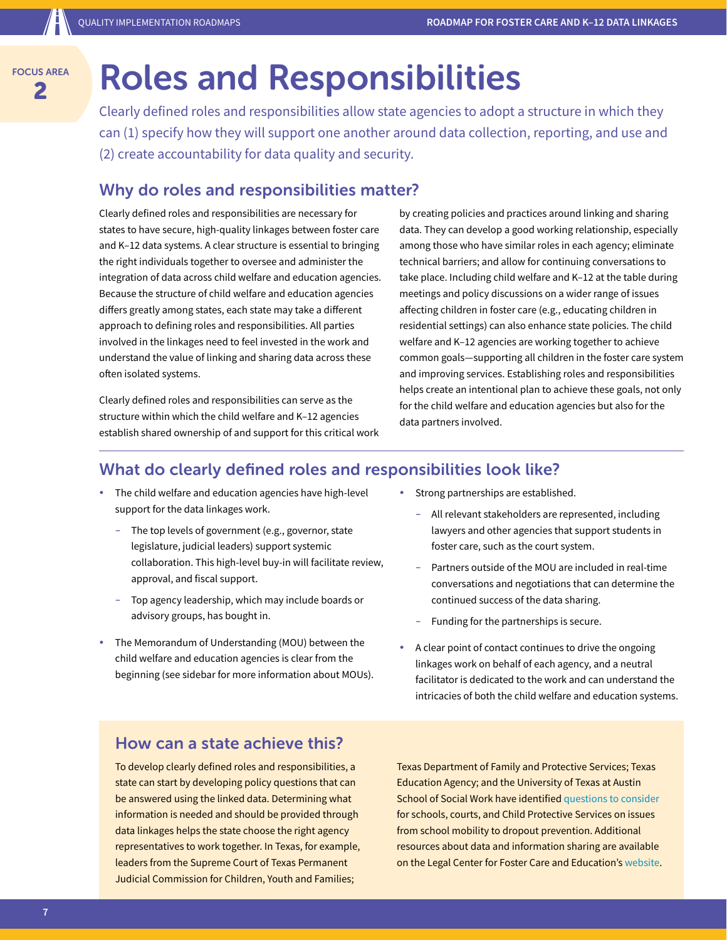## **2** Roles and Responsibilities

Clearly defined roles and responsibilities allow state agencies to adopt a structure in which they can (1) specify how they will support one another around data collection, reporting, and use and (2) create accountability for data quality and security.

#### Why do roles and responsibilities matter?

Clearly defined roles and responsibilities are necessary for states to have secure, high-quality linkages between foster care and K–12 data systems. A clear structure is essential to bringing the right individuals together to oversee and administer the integration of data across child welfare and education agencies. Because the structure of child welfare and education agencies differs greatly among states, each state may take a different approach to defining roles and responsibilities. All parties involved in the linkages need to feel invested in the work and understand the value of linking and sharing data across these often isolated systems.

Clearly defined roles and responsibilities can serve as the structure within which the child welfare and K–12 agencies establish shared ownership of and support for this critical work by creating policies and practices around linking and sharing data. They can develop a good working relationship, especially among those who have similar roles in each agency; eliminate technical barriers; and allow for continuing conversations to take place. Including child welfare and K–12 at the table during meetings and policy discussions on a wider range of issues affecting children in foster care (e.g., educating children in residential settings) can also enhance state policies. The child welfare and K–12 agencies are working together to achieve common goals—supporting all children in the foster care system and improving services. Establishing roles and responsibilities helps create an intentional plan to achieve these goals, not only for the child welfare and education agencies but also for the data partners involved.

#### What do clearly defined roles and responsibilities look like?

- The child welfare and education agencies have high-level support for the data linkages work.
	- The top levels of government (e.g., governor, state legislature, judicial leaders) support systemic collaboration. This high-level buy-in will facilitate review, approval, and fiscal support.
	- Top agency leadership, which may include boards or advisory groups, has bought in.
- The Memorandum of Understanding (MOU) between the child welfare and education agencies is clear from the beginning (see sidebar for more information about MOUs).
- Strong partnerships are established.
	- All relevant stakeholders are represented, including lawyers and other agencies that support students in foster care, such as the court system.
	- Partners outside of the MOU are included in real-time conversations and negotiations that can determine the continued success of the data sharing.
	- Funding for the partnerships is secure.
- A clear point of contact continues to drive the ongoing linkages work on behalf of each agency, and a neutral facilitator is dedicated to the work and can understand the intricacies of both the child welfare and education systems.

#### How can a state achieve this?

To develop clearly defined roles and responsibilities, a state can start by developing policy questions that can be answered using the linked data. Determining what information is needed and should be provided through data linkages helps the state choose the right agency representatives to work together. In Texas, for example, leaders from the Supreme Court of Texas Permanent Judicial Commission for Children, Youth and Families;

Texas Department of Family and Protective Services; Texas Education Agency; and the University of Texas at Austin School of Social Work have identified [questions to consider](http://texaschildrenscommission.gov/media/46343/Texas-Blueprint-Data-Workgroup-Infographic.pdf) for schools, courts, and Child Protective Services on issues from school mobility to dropout prevention. Additional resources about data and information sharing are available on the Legal Center for Foster Care and Education's [website.](http://www.fostercareandeducation.org/AreasofFocus/DataInformationSharing.aspx)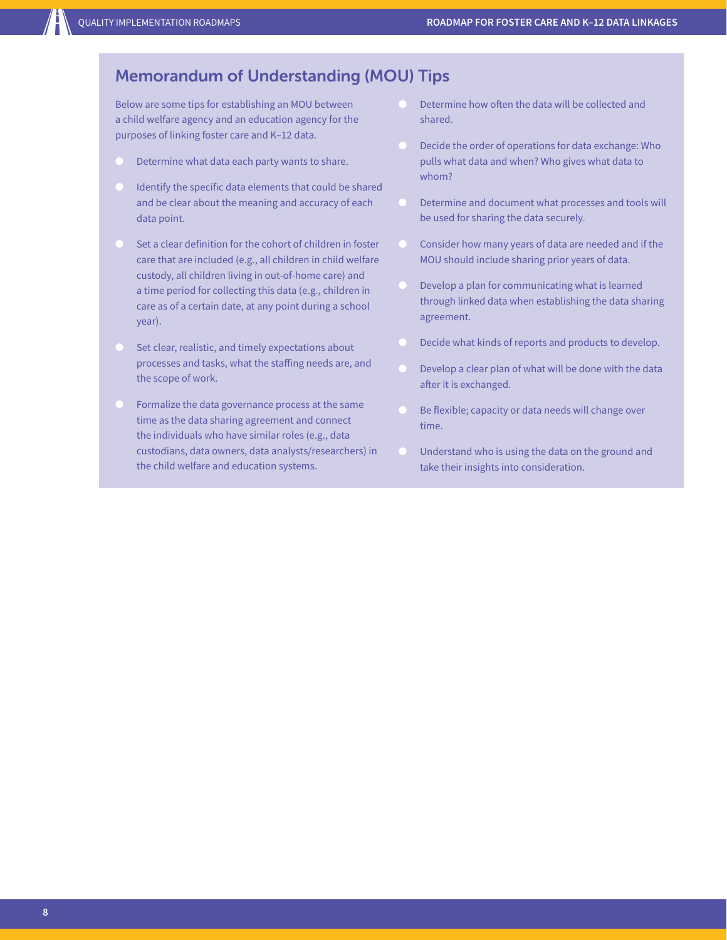#### Memorandum of Understanding (MOU) Tips

Below are some tips for establishing an MOU between a child welfare agency and an education agency for the purposes of linking foster care and K–12 data.

- Determine what data each party wants to share.
- Identify the specific data elements that could be shared and be clear about the meaning and accuracy of each data point.
- Set a clear definition for the cohort of children in foster care that are included (e.g., all children in child welfare custody, all children living in out-of-home care) and a time period for collecting this data (e.g., children in care as of a certain date, at any point during a school year).
- Set clear, realistic, and timely expectations about processes and tasks, what the staffing needs are, and the scope of work.
- Formalize the data governance process at the same time as the data sharing agreement and connect the individuals who have similar roles (e.g., data custodians, data owners, data analysts/researchers) in the child welfare and education systems.
- Determine how often the data will be collected and shared.
- Decide the order of operations for data exchange: Who pulls what data and when? Who gives what data to whom?
- Determine and document what processes and tools will be used for sharing the data securely.
- Consider how many years of data are needed and if the MOU should include sharing prior years of data.
- Develop a plan for communicating what is learned through linked data when establishing the data sharing agreement.
- Decide what kinds of reports and products to develop.
- Develop a clear plan of what will be done with the data after it is exchanged.
- Be flexible; capacity or data needs will change over time.
- Understand who is using the data on the ground and take their insights into consideration.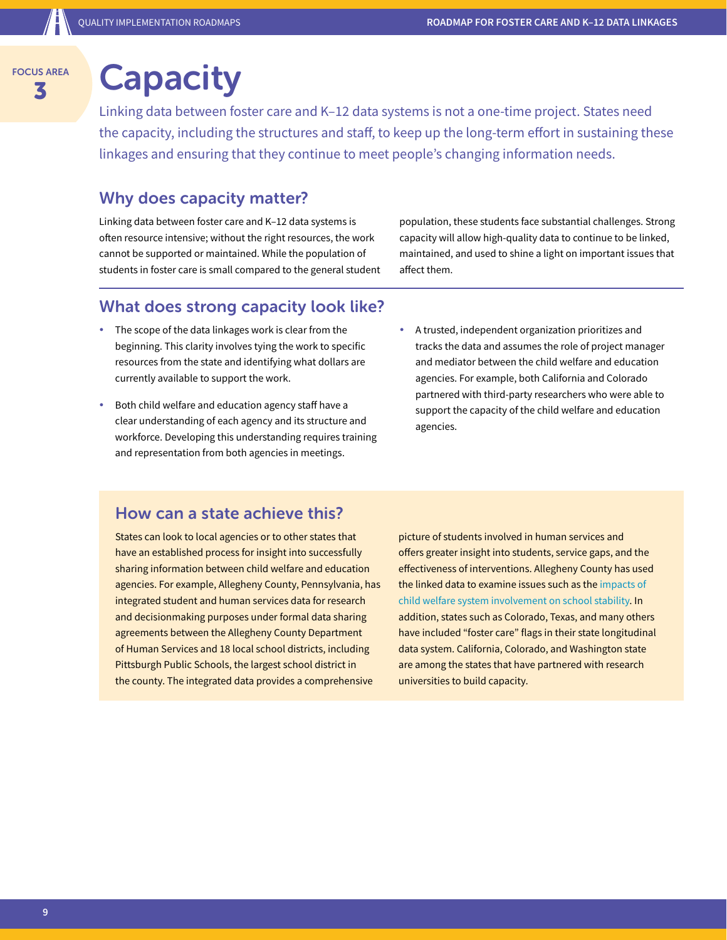## **SAREA** Capacity

Linking data between foster care and K–12 data systems is not a one-time project. States need the capacity, including the structures and staff, to keep up the long-term effort in sustaining these linkages and ensuring that they continue to meet people's changing information needs.

#### Why does capacity matter?

Linking data between foster care and K–12 data systems is often resource intensive; without the right resources, the work cannot be supported or maintained. While the population of students in foster care is small compared to the general student population, these students face substantial challenges. Strong capacity will allow high-quality data to continue to be linked, maintained, and used to shine a light on important issues that affect them.

#### What does strong capacity look like?

- The scope of the data linkages work is clear from the beginning. This clarity involves tying the work to specific resources from the state and identifying what dollars are currently available to support the work.
- Both child welfare and education agency staff have a clear understanding of each agency and its structure and workforce. Developing this understanding requires training and representation from both agencies in meetings.
- A trusted, independent organization prioritizes and tracks the data and assumes the role of project manager and mediator between the child welfare and education agencies. For example, both California and Colorado partnered with third-party researchers who were able to support the capacity of the child welfare and education agencies.

#### How can a state achieve this?

States can look to local agencies or to other states that have an established process for insight into successfully sharing information between child welfare and education agencies. For example, Allegheny County, Pennsylvania, has integrated student and human services data for research and decisionmaking purposes under formal data sharing agreements between the Allegheny County Department of Human Services and 18 local school districts, including Pittsburgh Public Schools, the largest school district in the county. The integrated data provides a comprehensive

picture of students involved in human services and offers greater insight into students, service gaps, and the effectiveness of interventions. Allegheny County has used the linked data to examine issues such as the [impacts of](http://www.alleghenycountyanalytics.us/index.php/2015/11/01/data-brief-the-impact-of-child-welfare-system-involvement-on-school-stability-an-evaluation-of-pittsburgh-public-school-students/)  [child welfare system involvement on school stability](http://www.alleghenycountyanalytics.us/index.php/2015/11/01/data-brief-the-impact-of-child-welfare-system-involvement-on-school-stability-an-evaluation-of-pittsburgh-public-school-students/). In addition, states such as Colorado, Texas, and many others have included "foster care" flags in their state longitudinal data system. California, Colorado, and Washington state are among the states that have partnered with research universities to build capacity.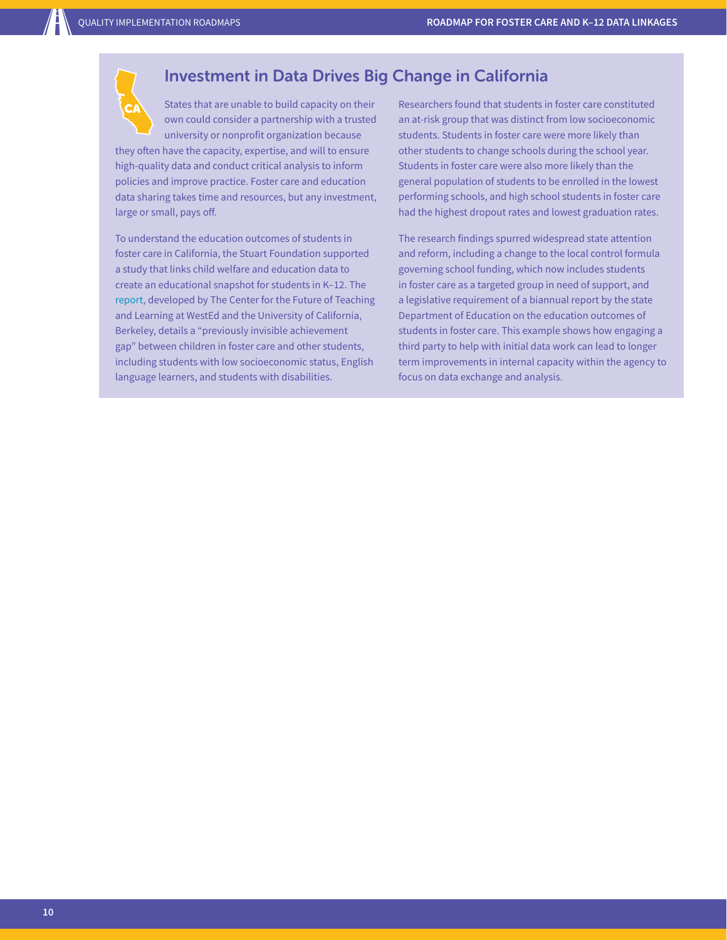

#### Investment in Data Drives Big Change in California

States that are unable to build capacity on their own could consider a partnership with a trusted university or nonprofit organization because

they often have the capacity, expertise, and will to ensure high-quality data and conduct critical analysis to inform policies and improve practice. Foster care and education data sharing takes time and resources, but any investment, large or small, pays off.

To understand the education outcomes of students in foster care in California, the Stuart Foundation supported a study that links child welfare and education data to create an educational snapshot for students in K–12. The [report,](https://www.wested.org/resources/the-invisible-achievement-gap-education-outcomes-of-students-in-foster-care-in-californias-public-schools-part-1/) developed by The Center for the Future of Teaching and Learning at WestEd and the University of California, Berkeley, details a "previously invisible achievement gap" between children in foster care and other students, including students with low socioeconomic status, English language learners, and students with disabilities.

Researchers found that students in foster care constituted an at-risk group that was distinct from low socioeconomic students. Students in foster care were more likely than other students to change schools during the school year. Students in foster care were also more likely than the general population of students to be enrolled in the lowest performing schools, and high school students in foster care had the highest dropout rates and lowest graduation rates.

The research findings spurred widespread state attention and reform, including a change to the local control formula governing school funding, which now includes students in foster care as a targeted group in need of support, and a legislative requirement of a biannual report by the state Department of Education on the education outcomes of students in foster care. This example shows how engaging a third party to help with initial data work can lead to longer term improvements in internal capacity within the agency to focus on data exchange and analysis.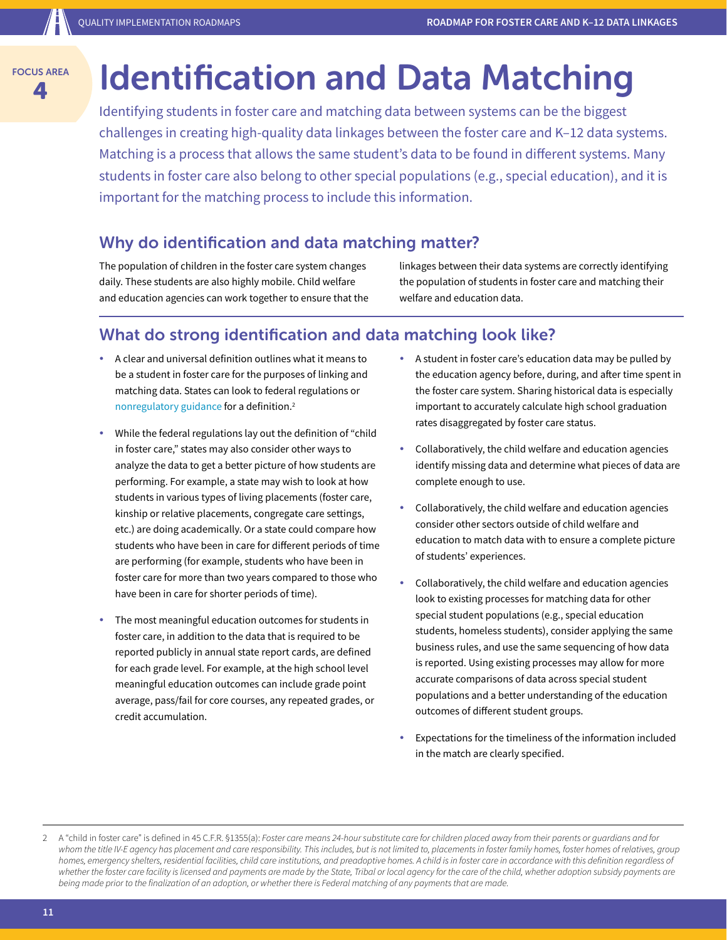## **A ADD IDENTIFICATION AND DATA Matching**

Identifying students in foster care and matching data between systems can be the biggest challenges in creating high-quality data linkages between the foster care and K–12 data systems. Matching is a process that allows the same student's data to be found in different systems. Many students in foster care also belong to other special populations (e.g., special education), and it is important for the matching process to include this information.

#### Why do identification and data matching matter?

The population of children in the foster care system changes daily. These students are also highly mobile. Child welfare and education agencies can work together to ensure that the linkages between their data systems are correctly identifying the population of students in foster care and matching their welfare and education data.

#### What do strong identification and data matching look like?

- A clear and universal definition outlines what it means to be a student in foster care for the purposes of linking and matching data. States can look to federal regulations or [nonregulatory guidance](https://www2.ed.gov/policy/elsec/leg/essa/edhhsfostercarenonregulatorguide.pdf) for a definition.2
- While the federal regulations lay out the definition of "child in foster care," states may also consider other ways to analyze the data to get a better picture of how students are performing. For example, a state may wish to look at how students in various types of living placements (foster care, kinship or relative placements, congregate care settings, etc.) are doing academically. Or a state could compare how students who have been in care for different periods of time are performing (for example, students who have been in foster care for more than two years compared to those who have been in care for shorter periods of time).
- The most meaningful education outcomes for students in foster care, in addition to the data that is required to be reported publicly in annual state report cards, are defined for each grade level. For example, at the high school level meaningful education outcomes can include grade point average, pass/fail for core courses, any repeated grades, or credit accumulation.
- A student in foster care's education data may be pulled by the education agency before, during, and after time spent in the foster care system. Sharing historical data is especially important to accurately calculate high school graduation rates disaggregated by foster care status.
- Collaboratively, the child welfare and education agencies identify missing data and determine what pieces of data are complete enough to use.
- Collaboratively, the child welfare and education agencies consider other sectors outside of child welfare and education to match data with to ensure a complete picture of students' experiences.
- Collaboratively, the child welfare and education agencies look to existing processes for matching data for other special student populations (e.g., special education students, homeless students), consider applying the same business rules, and use the same sequencing of how data is reported. Using existing processes may allow for more accurate comparisons of data across special student populations and a better understanding of the education outcomes of different student groups.
- Expectations for the timeliness of the information included in the match are clearly specified.

<sup>2</sup> A "child in foster care" is defined in 45 C.F.R. §1355(a): *Foster care means 24-hour substitute care for children placed away from their parents or guardians and for*  whom the title IV-E agency has placement and care responsibility. This includes, but is not limited to, placements in foster family homes, foster homes of relatives, group *homes, emergency shelters, residential facilities, child care institutions, and preadoptive homes. A child is in foster care in accordance with this definition regardless of*  whether the foster care facility is licensed and payments are made by the State, Tribal or local agency for the care of the child, whether adoption subsidy payments are *being made prior to the finalization of an adoption, or whether there is Federal matching of any payments that are made.*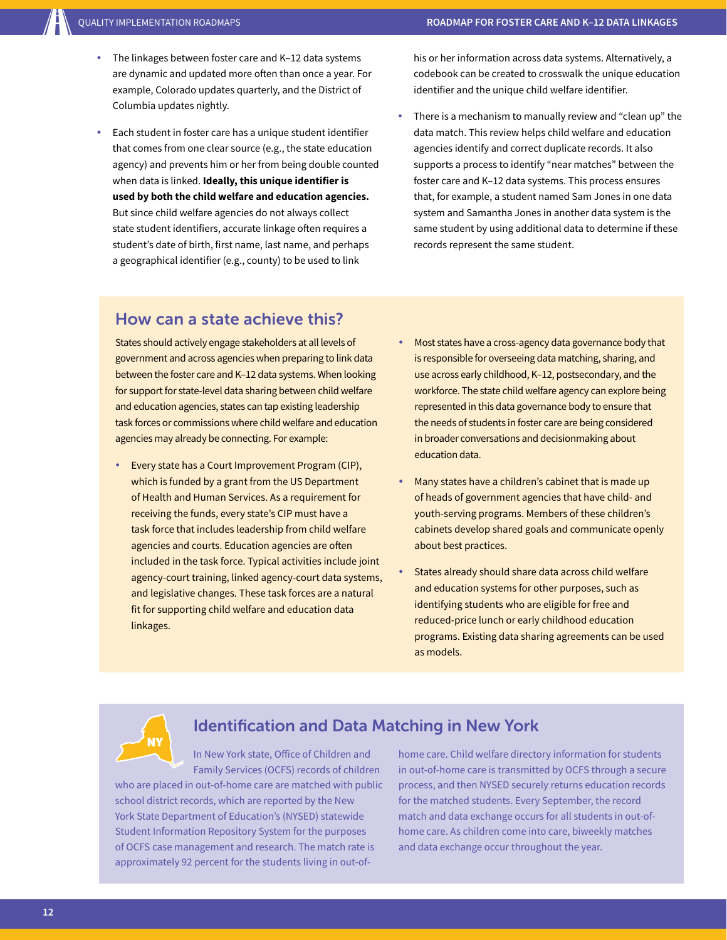- The linkages between foster care and K-12 data systems are dynamic and updated more often than once a year. For example, Colorado updates quarterly, and the District of Columbia updates nightly.
- Each student in foster care has a unique student identifier that comes from one clear source (e.g., the state education agency) and prevents him or her from being double counted when data is linked. **Ideally, this unique identifier is used by both the child welfare and education agencies.**  But since child welfare agencies do not always collect state student identifiers, accurate linkage often requires a student's date of birth, first name, last name, and perhaps a geographical identifier (e.g., county) to be used to link

his or her information across data systems. Alternatively, a codebook can be created to crosswalk the unique education identifier and the unique child welfare identifier.

There is a mechanism to manually review and "clean up" the data match. This review helps child welfare and education agencies identify and correct duplicate records. It also supports a process to identify "near matches" between the foster care and K–12 data systems. This process ensures that, for example, a student named Sam Jones in one data system and Samantha Jones in another data system is the same student by using additional data to determine if these records represent the same student.

#### How can a state achieve this?

States should actively engage stakeholders at all levels of government and across agencies when preparing to link data between the foster care and K–12 data systems. When looking for support for state-level data sharing between child welfare and education agencies, states can tap existing leadership task forces or commissions where child welfare and education agencies may already be connecting. For example:

- Every state has a Court Improvement Program (CIP), which is funded by a grant from the US Department of Health and Human Services. As a requirement for receiving the funds, every state's CIP must have a task force that includes leadership from child welfare agencies and courts. Education agencies are often included in the task force. Typical activities include joint agency-court training, linked agency-court data systems, and legislative changes. These task forces are a natural fit for supporting child welfare and education data linkages.
- Most states have a cross-agency data governance body that is responsible for overseeing data matching, sharing, and use across early childhood, K–12, postsecondary, and the workforce. The state child welfare agency can explore being represented in this data governance body to ensure that the needs of students in foster care are being considered in broader conversations and decisionmaking about education data.
- Many states have a children's cabinet that is made up of heads of government agencies that have child- and youth-serving programs. Members of these children's cabinets develop shared goals and communicate openly about best practices.
- States already should share data across child welfare and education systems for other purposes, such as identifying students who are eligible for free and reduced-price lunch or early childhood education programs. Existing data sharing agreements can be used as models.

# NY

#### Identification and Data Matching in New York

In New York state, Office of Children and Family Services (OCFS) records of children

who are placed in out-of-home care are matched with public school district records, which are reported by the New York State Department of Education's (NYSED) statewide Student Information Repository System for the purposes of OCFS case management and research. The match rate is approximately 92 percent for the students living in out-of-

home care. Child welfare directory information for students in out-of-home care is transmitted by OCFS through a secure process, and then NYSED securely returns education records for the matched students. Every September, the record match and data exchange occurs for all students in out-ofhome care. As children come into care, biweekly matches and data exchange occur throughout the year.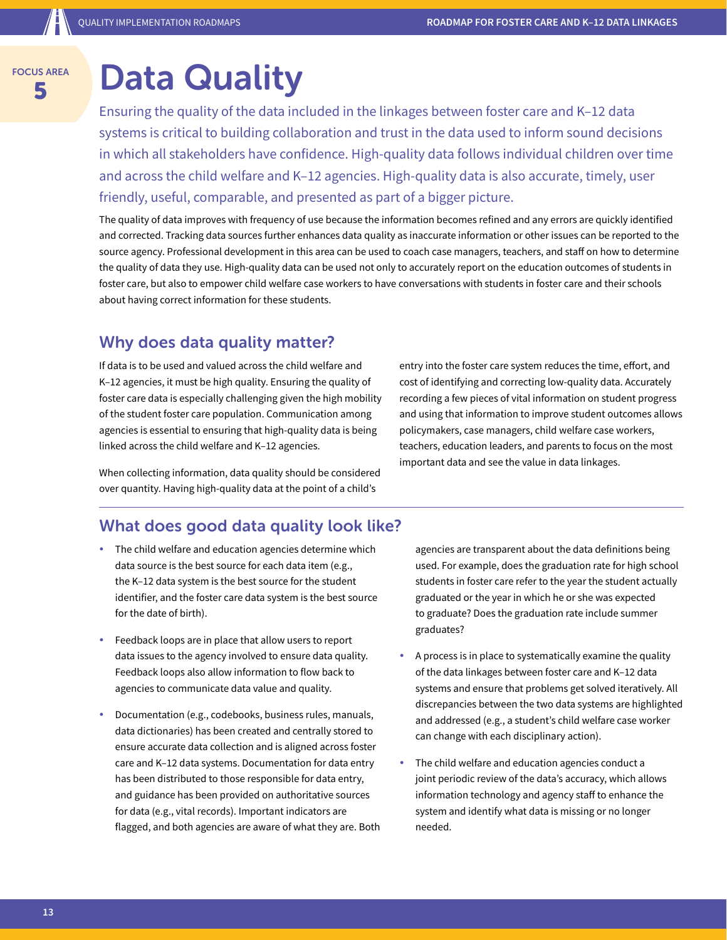#### FOCUS AREA **SAREA** Data Quality

Ensuring the quality of the data included in the linkages between foster care and K–12 data systems is critical to building collaboration and trust in the data used to inform sound decisions in which all stakeholders have confidence. High-quality data follows individual children over time and across the child welfare and K–12 agencies. High-quality data is also accurate, timely, user friendly, useful, comparable, and presented as part of a bigger picture.

The quality of data improves with frequency of use because the information becomes refined and any errors are quickly identified and corrected. Tracking data sources further enhances data quality as inaccurate information or other issues can be reported to the source agency. Professional development in this area can be used to coach case managers, teachers, and staff on how to determine the quality of data they use. High-quality data can be used not only to accurately report on the education outcomes of students in foster care, but also to empower child welfare case workers to have conversations with students in foster care and their schools about having correct information for these students.

#### Why does data quality matter?

If data is to be used and valued across the child welfare and K–12 agencies, it must be high quality. Ensuring the quality of foster care data is especially challenging given the high mobility of the student foster care population. Communication among agencies is essential to ensuring that high-quality data is being linked across the child welfare and K–12 agencies.

When collecting information, data quality should be considered over quantity. Having high-quality data at the point of a child's

#### What does good data quality look like?

- The child welfare and education agencies determine which data source is the best source for each data item (e.g., the K–12 data system is the best source for the student identifier, and the foster care data system is the best source for the date of birth).
- Feedback loops are in place that allow users to report data issues to the agency involved to ensure data quality. Feedback loops also allow information to flow back to agencies to communicate data value and quality.
- Documentation (e.g., codebooks, business rules, manuals, data dictionaries) has been created and centrally stored to ensure accurate data collection and is aligned across foster care and K–12 data systems. Documentation for data entry has been distributed to those responsible for data entry, and guidance has been provided on authoritative sources for data (e.g., vital records). Important indicators are flagged, and both agencies are aware of what they are. Both

agencies are transparent about the data definitions being used. For example, does the graduation rate for high school students in foster care refer to the year the student actually graduated or the year in which he or she was expected to graduate? Does the graduation rate include summer graduates?

- y A process is in place to systematically examine the quality of the data linkages between foster care and K–12 data systems and ensure that problems get solved iteratively. All discrepancies between the two data systems are highlighted and addressed (e.g., a student's child welfare case worker can change with each disciplinary action).
- The child welfare and education agencies conduct a joint periodic review of the data's accuracy, which allows information technology and agency staff to enhance the system and identify what data is missing or no longer needed.

entry into the foster care system reduces the time, effort, and cost of identifying and correcting low-quality data. Accurately recording a few pieces of vital information on student progress and using that information to improve student outcomes allows policymakers, case managers, child welfare case workers, teachers, education leaders, and parents to focus on the most important data and see the value in data linkages.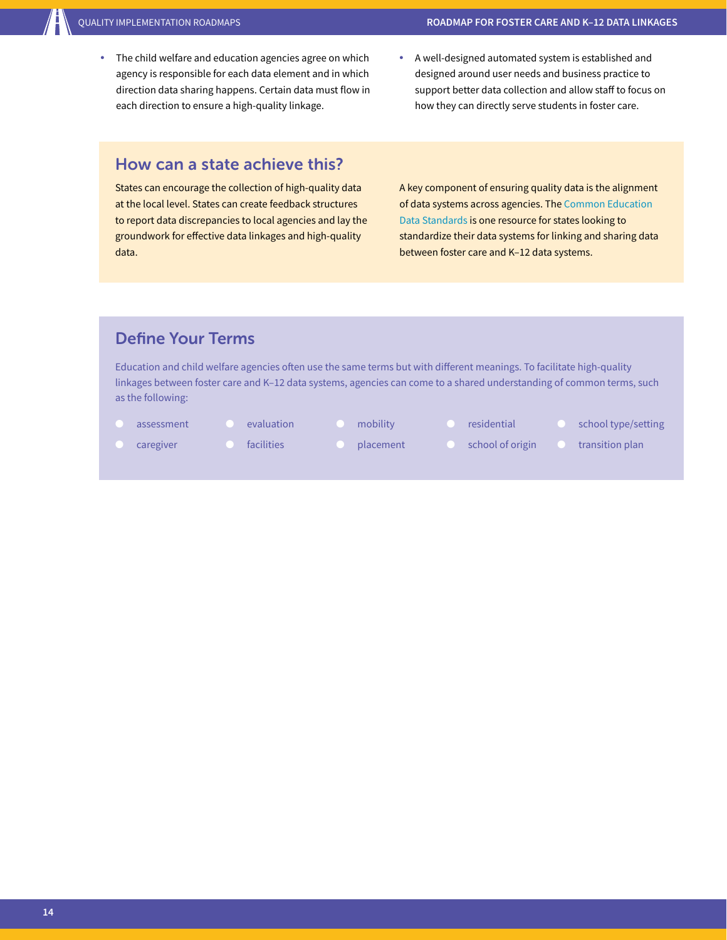- The child welfare and education agencies agree on which agency is responsible for each data element and in which direction data sharing happens. Certain data must flow in each direction to ensure a high-quality linkage.
- A well-designed automated system is established and designed around user needs and business practice to support better data collection and allow staff to focus on how they can directly serve students in foster care.

#### How can a state achieve this?

States can encourage the collection of high-quality data at the local level. States can create feedback structures to report data discrepancies to local agencies and lay the groundwork for effective data linkages and high-quality data.

A key component of ensuring quality data is the alignment of data systems across agencies. The [Common Education](https://ceds.ed.gov/Default.aspx)  [Data Standards](https://ceds.ed.gov/Default.aspx) is one resource for states looking to standardize their data systems for linking and sharing data between foster care and K–12 data systems.

#### Define Your Terms

Education and child welfare agencies often use the same terms but with different meanings. To facilitate high-quality linkages between foster care and K–12 data systems, agencies can come to a shared understanding of common terms, such as the following:

- assessment
- evaluation
- mobility
- residential
- school type/setting
- 
- facilities
- 
- 
- transition plan
- caregiver
- 
- placement
- - school of origin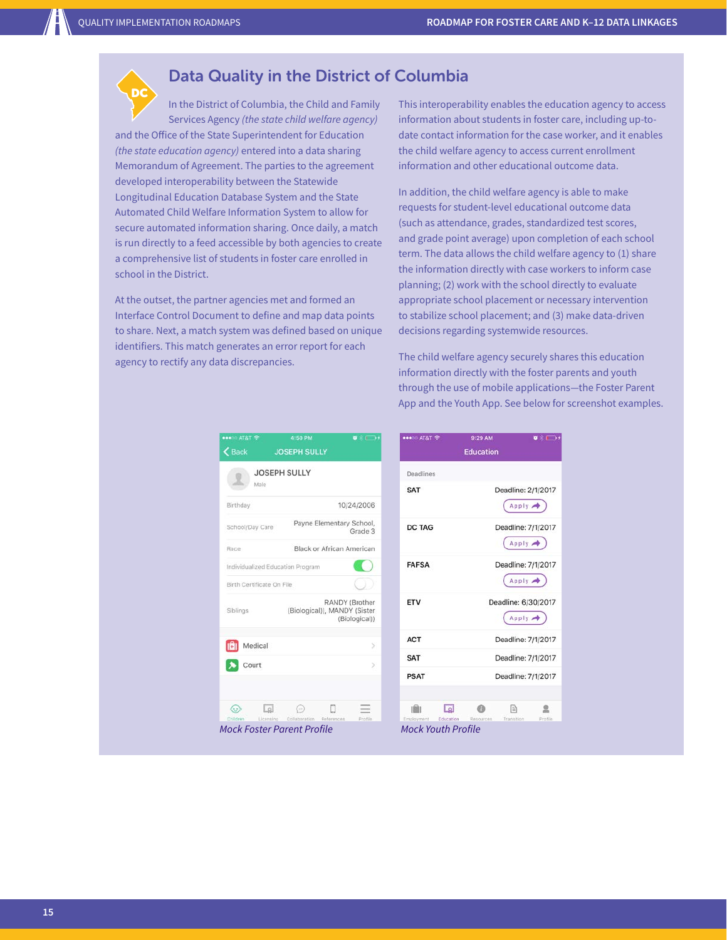#### Data Quality in the District of Columbia

In the District of Columbia, the Child and Family Services Agency *(the state child welfare agency)* and the Office of the State Superintendent for Education *(the state education agency)* entered into a data sharing Memorandum of Agreement. The parties to the agreement developed interoperability between the Statewide Longitudinal Education Database System and the State Automated Child Welfare Information System to allow for secure automated information sharing. Once daily, a match is run directly to a feed accessible by both agencies to create a comprehensive list of students in foster care enrolled in school in the District. DC

At the outset, the partner agencies met and formed an Interface Control Document to define and map data points to share. Next, a match system was defined based on unique identifiers. This match generates an error report for each agency to rectify any data discrepancies.

This interoperability enables the education agency to access information about students in foster care, including up-todate contact information for the case worker, and it enables the child welfare agency to access current enrollment information and other educational outcome data.

In addition, the child welfare agency is able to make requests for student-level educational outcome data (such as attendance, grades, standardized test scores, and grade point average) upon completion of each school term. The data allows the child welfare agency to (1) share the information directly with case workers to inform case planning; (2) work with the school directly to evaluate appropriate school placement or necessary intervention to stabilize school placement; and (3) make data-driven decisions regarding systemwide resources.

The child welfare agency securely shares this education information directly with the foster parents and youth through the use of mobile applications—the Foster Parent App and the Youth App. See below for screenshot examples.

 $\bullet$  :  $\Box$  :

| ●●●DD AT&T 수<br>$\zeta$ Back                        | 4:50 PM<br><b>JOSEPH SULLY</b>                                | $\bullet$ . $\bullet$ .         | ●●●○○ AT&T 全                                         | 9:29AN<br><b>Educatio</b> |
|-----------------------------------------------------|---------------------------------------------------------------|---------------------------------|------------------------------------------------------|---------------------------|
|                                                     |                                                               |                                 |                                                      |                           |
| Maie                                                | <b>JOSEPH SULLY</b>                                           |                                 | Deadlines                                            |                           |
| Birthday                                            |                                                               | 10/24/2006                      | <b>SAT</b>                                           |                           |
| School/Day Care                                     | Payne Elementary School,                                      | Grade 3                         | <b>DC TAG</b>                                        |                           |
| Race                                                | Black or African American                                     |                                 |                                                      |                           |
| Individualized Education Program                    |                                                               |                                 | <b>FAFSA</b>                                         |                           |
| Birth Certificate On File                           |                                                               |                                 |                                                      |                           |
| Siblings                                            | (Biological)), MANDY (Sister                                  | RANDY (Brother<br>(Biological)) | ETV                                                  |                           |
| Medical                                             |                                                               | s                               | <b>ACT</b>                                           |                           |
| Court                                               |                                                               | S.                              | <b>SAT</b>                                           |                           |
|                                                     |                                                               |                                 | <b>PSAT</b>                                          |                           |
| $\lceil a \rceil$<br>$\langle \cdot, \cdot \rangle$ | (  )                                                          |                                 | لعا                                                  |                           |
| Children<br>Licensino                               | Collaboration References<br><b>Mock Foster Parent Profile</b> | Profile                         | Employment<br>Education<br><b>Mock Youth Profile</b> | Resources                 |

| <b>Education</b>                 |           |           |                                      |         |  |
|----------------------------------|-----------|-----------|--------------------------------------|---------|--|
| Deadlines                        |           |           |                                      |         |  |
| <b>SAT</b>                       |           |           | Deadline: 2/1/2017<br>Apply <b>A</b> |         |  |
| <b>DC TAG</b>                    |           |           | Deadline: 7/1/2017<br>Apply >        |         |  |
| <b>FAFSA</b>                     |           |           | Deadline: 7/1/2017<br>Apply >        |         |  |
| ETV                              |           |           | Deadline: 6/30/2017<br>Apply >       |         |  |
| <b>ACT</b>                       |           |           | Deadline: 7/1/2017                   |         |  |
| <b>SAT</b>                       |           |           | Deadline: 7/1/2017                   |         |  |
| <b>PSAT</b>                      |           |           | Deadline: 7/1/2017                   |         |  |
|                                  | Lol       |           | 目                                    | Profile |  |
| Employment<br>Mock Vouth Drofilo | Education | Resources | Transition                           |         |  |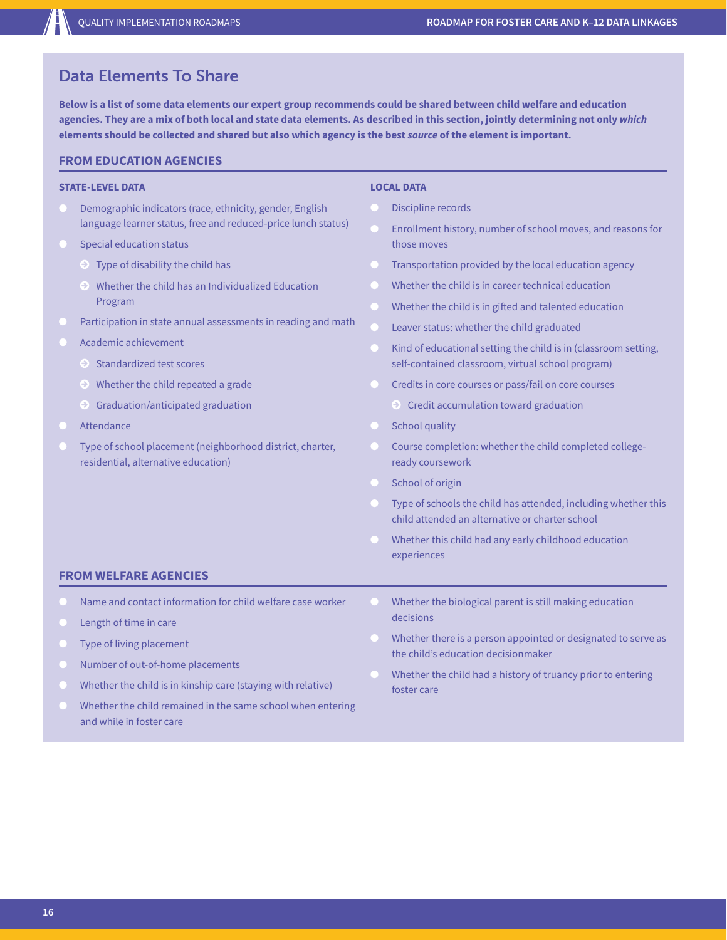#### Data Elements To Share

**Below is a list of some data elements our expert group recommends could be shared between child welfare and education agencies. They are a mix of both local and state data elements. As described in this section, jointly determining not only** *which* **elements should be collected and shared but also which agency is the best** *source* **of the element is important.** 

#### **FROM EDUCATION AGENCIES**

#### **STATE-LEVEL DATA**

- Demographic indicators (race, ethnicity, gender, English language learner status, free and reduced-price lunch status)
- **Special education status** 
	- $\odot$  Type of disability the child has
	- © Whether the child has an Individualized Education Program
- Participation in state annual assessments in reading and math
- Academic achievement
	- © Standardized test scores
	- © Whether the child repeated a grade
	- © Graduation/anticipated graduation
- Attendance
- Type of school placement (neighborhood district, charter, residential, alternative education)

#### **LOCAL DATA**

- Discipline records
- Enrollment history, number of school moves, and reasons for those moves
- Transportation provided by the local education agency
- Whether the child is in career technical education
- Whether the child is in gifted and talented education
- Leaver status: whether the child graduated
- Kind of educational setting the child is in (classroom setting, self-contained classroom, virtual school program)
- Credits in core courses or pass/fail on core courses
	- © Credit accumulation toward graduation
- **School quality**
- Course completion: whether the child completed collegeready coursework
- School of origin
- Type of schools the child has attended, including whether this child attended an alternative or charter school
- Whether this child had any early childhood education experiences

#### **FROM WELFARE AGENCIES**

- Name and contact information for child welfare case worker
- Length of time in care
- Type of living placement
- Number of out-of-home placements
- Whether the child is in kinship care (staying with relative)
- Whether the child remained in the same school when entering and while in foster care
- Whether the biological parent is still making education decisions
- Whether there is a person appointed or designated to serve as the child's education decisionmaker
- Whether the child had a history of truancy prior to entering foster care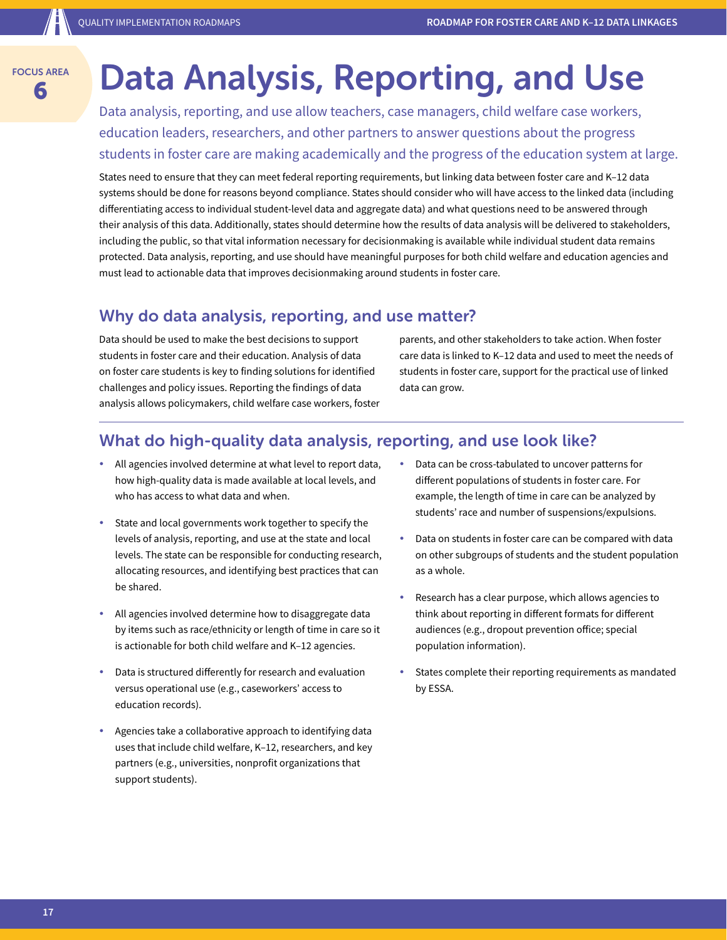## **6 Barea Data Analysis, Reporting, and Use**

Data analysis, reporting, and use allow teachers, case managers, child welfare case workers, education leaders, researchers, and other partners to answer questions about the progress students in foster care are making academically and the progress of the education system at large.

States need to ensure that they can meet federal reporting requirements, but linking data between foster care and K–12 data systems should be done for reasons beyond compliance. States should consider who will have access to the linked data (including differentiating access to individual student-level data and aggregate data) and what questions need to be answered through their analysis of this data. Additionally, states should determine how the results of data analysis will be delivered to stakeholders, including the public, so that vital information necessary for decisionmaking is available while individual student data remains protected. Data analysis, reporting, and use should have meaningful purposes for both child welfare and education agencies and must lead to actionable data that improves decisionmaking around students in foster care.

#### Why do data analysis, reporting, and use matter?

Data should be used to make the best decisions to support students in foster care and their education. Analysis of data on foster care students is key to finding solutions for identified challenges and policy issues. Reporting the findings of data analysis allows policymakers, child welfare case workers, foster parents, and other stakeholders to take action. When foster care data is linked to K–12 data and used to meet the needs of students in foster care, support for the practical use of linked data can grow.

#### What do high-quality data analysis, reporting, and use look like?

- All agencies involved determine at what level to report data, how high-quality data is made available at local levels, and who has access to what data and when.
- State and local governments work together to specify the levels of analysis, reporting, and use at the state and local levels. The state can be responsible for conducting research, allocating resources, and identifying best practices that can be shared.
- All agencies involved determine how to disaggregate data by items such as race/ethnicity or length of time in care so it is actionable for both child welfare and K–12 agencies.
- Data is structured differently for research and evaluation versus operational use (e.g., caseworkers' access to education records).
- Agencies take a collaborative approach to identifying data uses that include child welfare, K–12, researchers, and key partners (e.g., universities, nonprofit organizations that support students).
- Data can be cross-tabulated to uncover patterns for different populations of students in foster care. For example, the length of time in care can be analyzed by students' race and number of suspensions/expulsions.
- Data on students in foster care can be compared with data on other subgroups of students and the student population as a whole.
- Research has a clear purpose, which allows agencies to think about reporting in different formats for different audiences (e.g., dropout prevention office; special population information).
- States complete their reporting requirements as mandated by ESSA.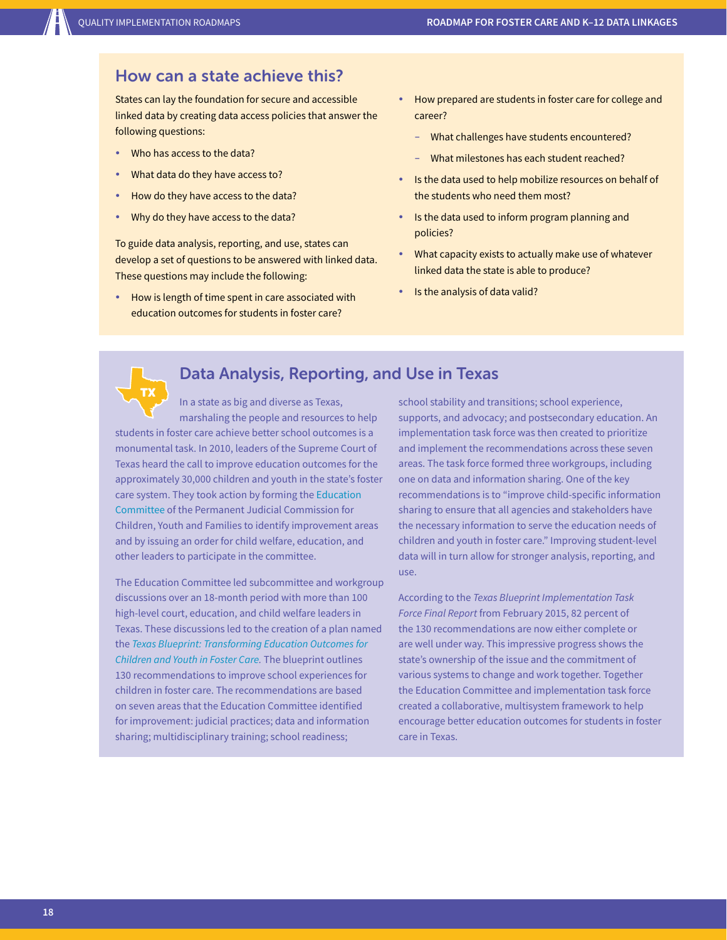TX

#### How can a state achieve this?

States can lay the foundation for secure and accessible linked data by creating data access policies that answer the following questions:

- Who has access to the data?
- What data do they have access to?
- How do they have access to the data?
- Why do they have access to the data?

To guide data analysis, reporting, and use, states can develop a set of questions to be answered with linked data. These questions may include the following:

How is length of time spent in care associated with education outcomes for students in foster care?

- How prepared are students in foster care for college and career?
	- What challenges have students encountered?
	- What milestones has each student reached?
- Is the data used to help mobilize resources on behalf of the students who need them most?
- Is the data used to inform program planning and policies?
- What capacity exists to actually make use of whatever linked data the state is able to produce?
- Is the analysis of data valid?

#### Data Analysis, Reporting, and Use in Texas

In a state as big and diverse as Texas, marshaling the people and resources to help students in foster care achieve better school outcomes is a monumental task. In 2010, leaders of the Supreme Court of Texas heard the call to improve education outcomes for the approximately 30,000 children and youth in the state's foster care system. They took action by forming the [Education](http://texaschildrenscommission.gov/)  [Committee](http://texaschildrenscommission.gov/) of the Permanent Judicial Commission for Children, Youth and Families to identify improvement areas and by issuing an order for child welfare, education, and other leaders to participate in the committee.

The Education Committee led subcommittee and workgroup discussions over an 18-month period with more than 100 high-level court, education, and child welfare leaders in Texas. These discussions led to the creation of a plan named the *[Texas Blueprint: Transforming Education Outcomes for](http://texaschildrenscommission.gov/media/23044/TheTexasBlueprint.pdf)  [Children and Youth in Foster Care](http://texaschildrenscommission.gov/media/23044/TheTexasBlueprint.pdf).* The blueprint outlines 130 recommendations to improve school experiences for children in foster care. The recommendations are based on seven areas that the Education Committee identified for improvement: judicial practices; data and information sharing; multidisciplinary training; school readiness;

school stability and transitions; school experience, supports, and advocacy; and postsecondary education. An implementation task force was then created to prioritize and implement the recommendations across these seven areas. The task force formed three workgroups, including one on data and information sharing. One of the key recommendations is to "improve child-specific information sharing to ensure that all agencies and stakeholders have the necessary information to serve the education needs of children and youth in foster care." Improving student-level data will in turn allow for stronger analysis, reporting, and use.

According to the *Texas Blueprint Implementation Task Force Final Report* from February 2015, 82 percent of the 130 recommendations are now either complete or are well under way. This impressive progress shows the state's ownership of the issue and the commitment of various systems to change and work together. Together the Education Committee and implementation task force created a collaborative, multisystem framework to help encourage better education outcomes for students in foster care in Texas.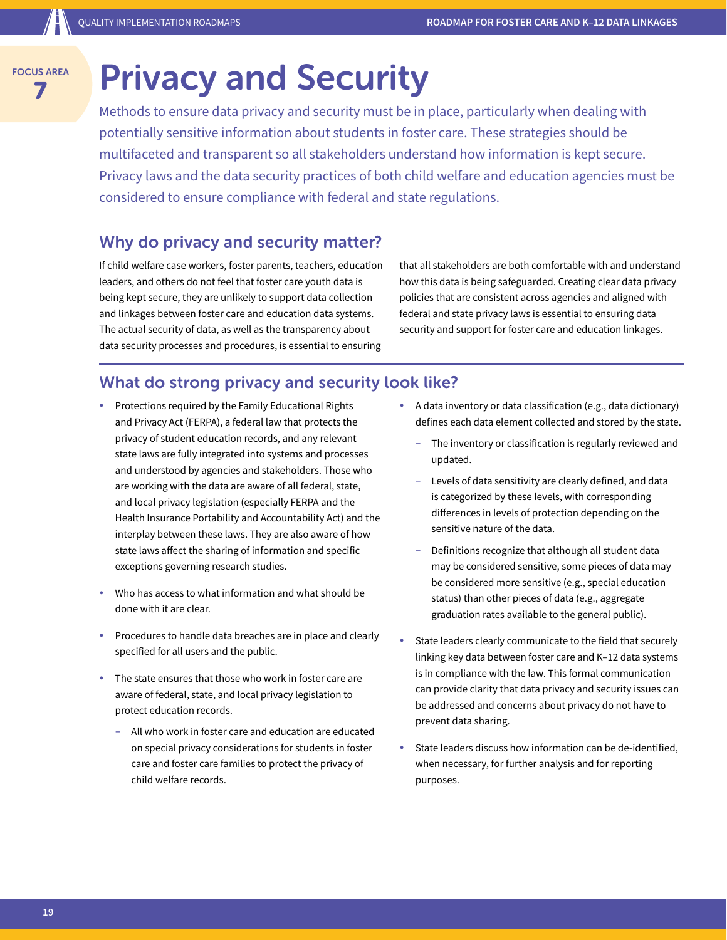## **Privacy and Security**

Methods to ensure data privacy and security must be in place, particularly when dealing with potentially sensitive information about students in foster care. These strategies should be multifaceted and transparent so all stakeholders understand how information is kept secure. Privacy laws and the data security practices of both child welfare and education agencies must be considered to ensure compliance with federal and state regulations.

#### Why do privacy and security matter?

If child welfare case workers, foster parents, teachers, education leaders, and others do not feel that foster care youth data is being kept secure, they are unlikely to support data collection and linkages between foster care and education data systems. The actual security of data, as well as the transparency about data security processes and procedures, is essential to ensuring

that all stakeholders are both comfortable with and understand how this data is being safeguarded. Creating clear data privacy policies that are consistent across agencies and aligned with federal and state privacy laws is essential to ensuring data security and support for foster care and education linkages.

#### What do strong privacy and security look like?

- Protections required by the Family Educational Rights and Privacy Act (FERPA), a federal law that protects the privacy of student education records, and any relevant state laws are fully integrated into systems and processes and understood by agencies and stakeholders. Those who are working with the data are aware of all federal, state, and local privacy legislation (especially FERPA and the Health Insurance Portability and Accountability Act) and the interplay between these laws. They are also aware of how state laws affect the sharing of information and specific exceptions governing research studies.
- Who has access to what information and what should be done with it are clear.
- y Procedures to handle data breaches are in place and clearly specified for all users and the public.
- The state ensures that those who work in foster care are aware of federal, state, and local privacy legislation to protect education records.
	- All who work in foster care and education are educated on special privacy considerations for students in foster care and foster care families to protect the privacy of child welfare records.
- A data inventory or data classification (e.g., data dictionary) defines each data element collected and stored by the state.
	- The inventory or classification is regularly reviewed and updated.
	- Levels of data sensitivity are clearly defined, and data is categorized by these levels, with corresponding differences in levels of protection depending on the sensitive nature of the data.
	- Definitions recognize that although all student data may be considered sensitive, some pieces of data may be considered more sensitive (e.g., special education status) than other pieces of data (e.g., aggregate graduation rates available to the general public).
- State leaders clearly communicate to the field that securely linking key data between foster care and K–12 data systems is in compliance with the law. This formal communication can provide clarity that data privacy and security issues can be addressed and concerns about privacy do not have to prevent data sharing.
- State leaders discuss how information can be de-identified, when necessary, for further analysis and for reporting purposes.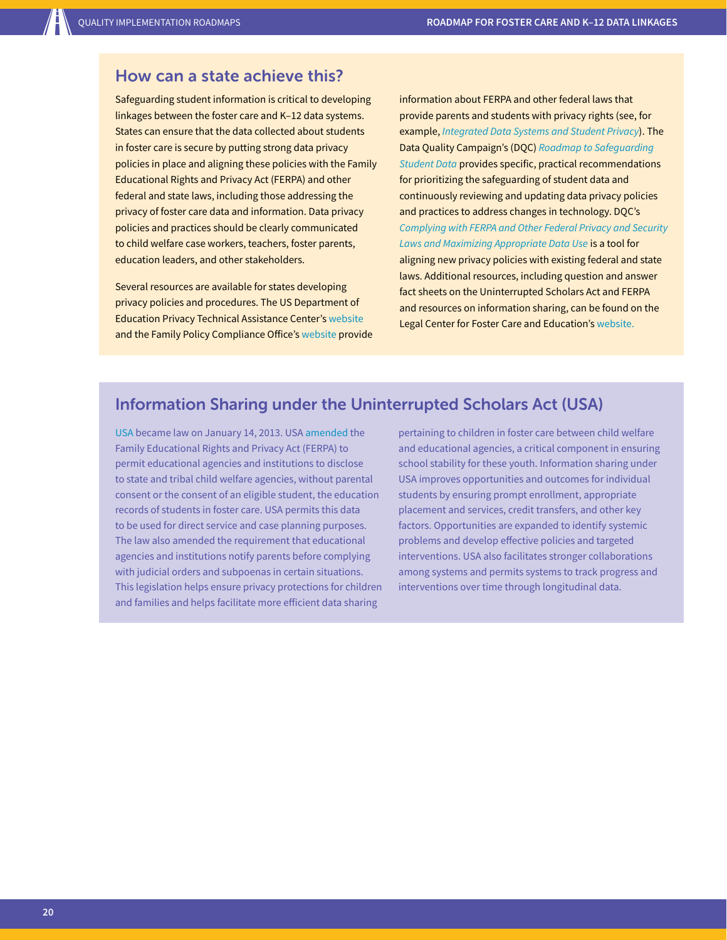#### How can a state achieve this?

Safeguarding student information is critical to developing linkages between the foster care and K–12 data systems. States can ensure that the data collected about students in foster care is secure by putting strong data privacy policies in place and aligning these policies with the Family Educational Rights and Privacy Act (FERPA) and other federal and state laws, including those addressing the privacy of foster care data and information. Data privacy policies and practices should be clearly communicated to child welfare case workers, teachers, foster parents, education leaders, and other stakeholders.

Several resources are available for states developing privacy policies and procedures. The US Department of Education Privacy Technical Assistance Center's [website](http://ptac.ed.gov/) and the Family Policy Compliance Office's [website](http://familypolicy.ed.gov/) provide information about FERPA and other federal laws that provide parents and students with privacy rights (see, for example, *[Integrated Data Systems and Student Privacy](http://ptac.ed.gov/sites/default/files/IDS_Final.pdf)*). The Data Quality Campaign's (DQC) *[Roadmap to Safeguarding](http://dataqualitycampaign.org/resource/roadmap-safeguarding-student-data/)  [Student Data](http://dataqualitycampaign.org/resource/roadmap-safeguarding-student-data/)* provides specific, practical recommendations for prioritizing the safeguarding of student data and continuously reviewing and updating data privacy policies and practices to address changes in technology. DQC's *[Complying with FERPA and Other Federal Privacy and Security](http://dataqualitycampaign.org/resource/complying-ferpa-federal-privacy-security-laws-maximizing-appropriate-data-use/) [Laws and Maximizing Appropriate Data Use](http://dataqualitycampaign.org/resource/complying-ferpa-federal-privacy-security-laws-maximizing-appropriate-data-use/)* is a tool for aligning new privacy policies with existing federal and state laws. Additional resources, including question and answer fact sheets on the Uninterrupted Scholars Act and FERPA and resources on information sharing, can be found on the Legal Center for Foster Care and Education's [website](http://www.fostercareandeducation.org/AreasofFocus/DataInformationSharing.aspx).

#### Information Sharing under the Uninterrupted Scholars Act (USA)

[USA](http://www.fostercareandeducation.org/portals/0/dmx/2013/06/file_20130618_133527_RqGAr_0.pdf) became law on January 14, 2013. USA [amended](https://www2.ed.gov/policy/gen/guid/fpco/ferpa/uninterrupted-scholars-act-guidance.pdf) the Family Educational Rights and Privacy Act (FERPA) to permit educational agencies and institutions to disclose to state and tribal child welfare agencies, without parental consent or the consent of an eligible student, the education records of students in foster care. USA permits this data to be used for direct service and case planning purposes. The law also amended the requirement that educational agencies and institutions notify parents before complying with judicial orders and subpoenas in certain situations. This legislation helps ensure privacy protections for children and families and helps facilitate more efficient data sharing

pertaining to children in foster care between child welfare and educational agencies, a critical component in ensuring school stability for these youth. Information sharing under USA improves opportunities and outcomes for individual students by ensuring prompt enrollment, appropriate placement and services, credit transfers, and other key factors. Opportunities are expanded to identify systemic problems and develop effective policies and targeted interventions. USA also facilitates stronger collaborations among systems and permits systems to track progress and interventions over time through longitudinal data.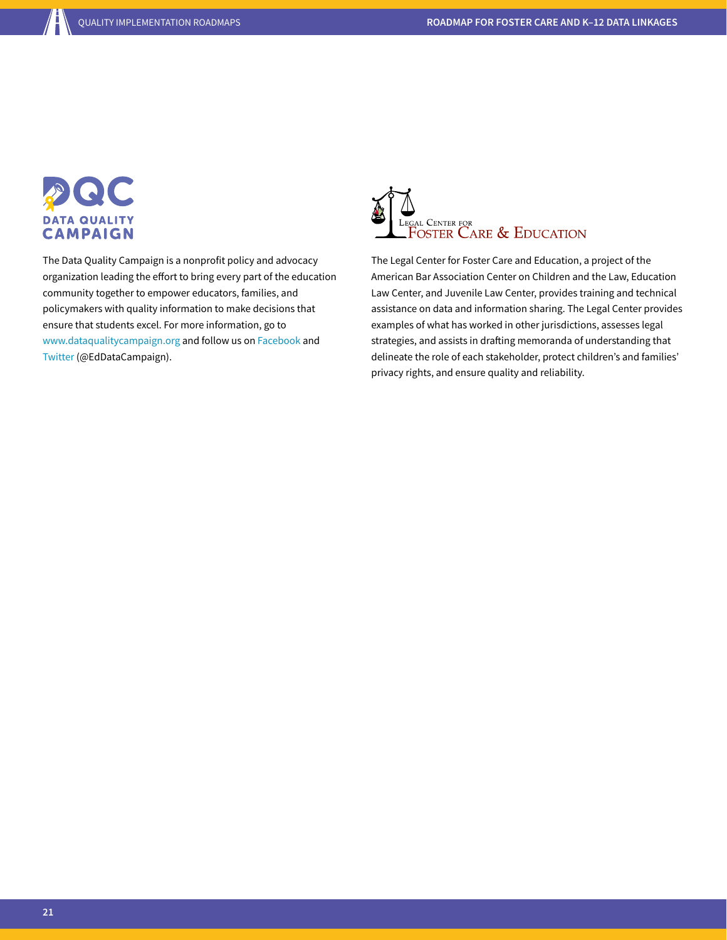

The Data Quality Campaign is a nonprofit policy and advocacy organization leading the effort to bring every part of the education community together to empower educators, families, and policymakers with quality information to make decisions that ensure that students excel. For more information, go to [www.dataqualitycampaign.org](http://www.dataqualitycampaign.org) and follow us on [Facebook](https://www.facebook.com/Data-Quality-Campaign-197486055182) and [Twitter](https://twitter.com/eddatacampaign) (@EdDataCampaign).



The Legal Center for Foster Care and Education, a project of the American Bar Association Center on Children and the Law, Education Law Center, and Juvenile Law Center, provides training and technical assistance on data and information sharing. The Legal Center provides examples of what has worked in other jurisdictions, assesses legal strategies, and assists in drafting memoranda of understanding that delineate the role of each stakeholder, protect children's and families' privacy rights, and ensure quality and reliability.